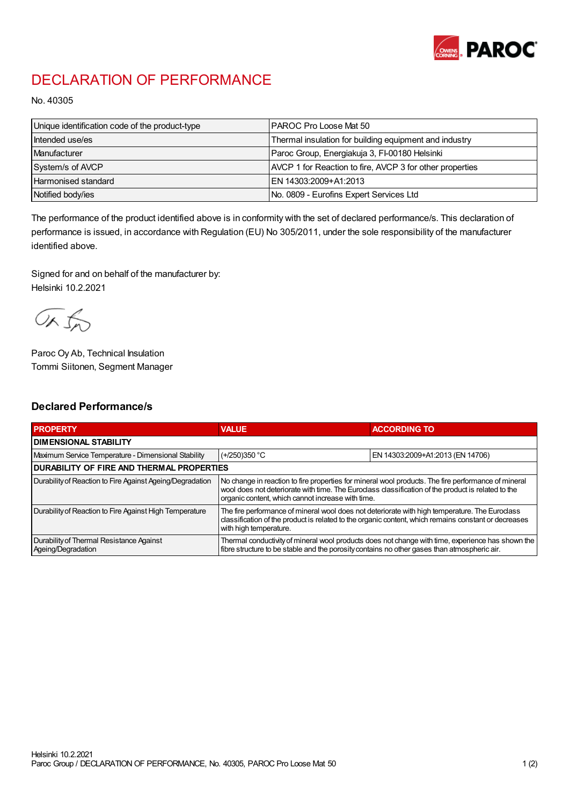

## DECLARATION OF PERFORMANCE

No. 40305

| Unique identification code of the product-type | I PAROC Pro Loose Mat 50                                 |
|------------------------------------------------|----------------------------------------------------------|
| Intended use/es                                | Thermal insulation for building equipment and industry   |
| Manufacturer                                   | Paroc Group, Energiakuja 3, FI-00180 Helsinki            |
| System/s of AVCP                               | AVCP 1 for Reaction to fire, AVCP 3 for other properties |
| <b>Harmonised standard</b>                     | EN 14303:2009+A1:2013                                    |
| Notified body/ies                              | No. 0809 - Eurofins Expert Services Ltd                  |

The performance of the product identified above is in conformity with the set of declared performance/s. This declaration of performance is issued, in accordance with Regulation (EU) No 305/2011, under the sole responsibility of the manufacturer identified above.

Signed for and on behalf of the manufacturer by: Helsinki 10.2.2021

ORJO

Paroc Oy Ab, Technical Insulation Tommi Siitonen, Segment Manager

## Declared Performance/s

| <b>PROPERTY</b>                                                | <b>VALUE</b>                                                                                                                                                                                                                                                   | <b>ACCORDING TO</b>              |  |  |
|----------------------------------------------------------------|----------------------------------------------------------------------------------------------------------------------------------------------------------------------------------------------------------------------------------------------------------------|----------------------------------|--|--|
| I DIMENSIONAL STABILITY                                        |                                                                                                                                                                                                                                                                |                                  |  |  |
| Maximum Service Temperature - Dimensional Stability            | $(+/250)350$ °C                                                                                                                                                                                                                                                | EN 14303:2009+A1:2013 (EN 14706) |  |  |
| DURABILITY OF FIRE AND THERMAL PROPERTIES                      |                                                                                                                                                                                                                                                                |                                  |  |  |
| Durability of Reaction to Fire Against Ageing/Degradation      | No change in reaction to fire properties for mineral wool products. The fire performance of mineral<br>wool does not deteriorate with time. The Euroclass classification of the product is related to the<br>organic content, which cannot increase with time. |                                  |  |  |
| Durability of Reaction to Fire Against High Temperature        | The fire performance of mineral wool does not deteriorate with high temperature. The Eurodass<br>classification of the product is related to the organic content, which remains constant or decreases<br>with high temperature.                                |                                  |  |  |
| Durability of Thermal Resistance Against<br>Ageing/Degradation | Thermal conductivity of mineral wool products does not change with time, experience has shown the<br>fibre structure to be stable and the porosity contains no other gases than atmospheric air.                                                               |                                  |  |  |